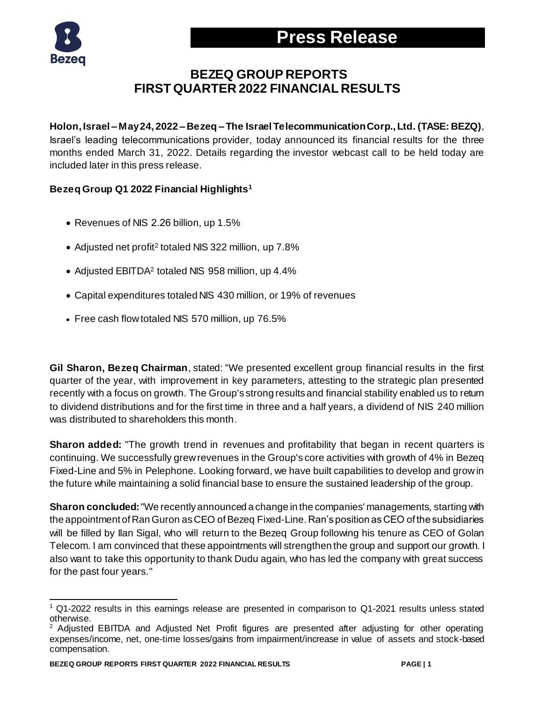

### **BEZEQ GROUP REPORTS FIRST QUARTER 2022 FINANCIAL RESULTS**

**Holon, Israel – May24, 2022 – Bezeq – The Israel Telecommunication Corp., Ltd. (TASE: BEZQ)**, Israel's leading telecommunications provider, today announced its financial results for the three months ended March 31, 2022. Details regarding the investor webcast call to be held today are included later in this press release.

#### **Bezeq Group Q1 2022 Financial Highlights<sup>1</sup>**

- Revenues of NIS 2.26 billion, up 1.5%
- Adjusted net profit<sup>2</sup> totaled NIS 322 million, up 7.8%
- Adjusted EBITDA<sup>2</sup> totaled NIS 958 million, up 4.4%
- Capital expenditures totaled NIS 430 million, or 19% of revenues
- Free cash flow totaled NIS 570 million, up 76.5%

**Gil Sharon, Bezeq Chairman**, stated: "We presented excellent group financial results in the first quarter of the year, with improvement in key parameters, attesting to the strategic plan presented recently with a focus on growth. The Group's strong results and financial stability enabled us to return to dividend distributions and for the first time in three and a half years, a dividend of NIS 240 million was distributed to shareholders this month.

**Sharon added:** "The growth trend in revenues and profitability that began in recent quarters is continuing. We successfully grew revenues in the Group's core activities with growth of 4% in Bezeq Fixed-Line and 5% in Pelephone. Looking forward, we have built capabilities to develop and grow in the future while maintaining a solid financial base to ensure the sustained leadership of the group.

**Sharon concluded:**"We recently announced a change in the companies' managements, starting with the appointment of Ran Guron as CEO of Bezeq Fixed-Line. Ran's position as CEO of the subsidiaries will be filled by Ilan Sigal, who will return to the Bezeq Group following his tenure as CEO of Golan Telecom. I am convinced that these appointments will strengthen the group and support our growth. I also want to take this opportunity to thank Dudu again, who has led the company with great success for the past four years."

l <sup>1</sup> Q1-2022 results in this earnings release are presented in comparison to Q1-2021 results unless stated otherwise.

<sup>&</sup>lt;sup>2</sup> Adjusted EBITDA and Adjusted Net Profit figures are presented after adjusting for other operating expenses/income, net, one-time losses/gains from impairment/increase in value of assets and stock-based compensation.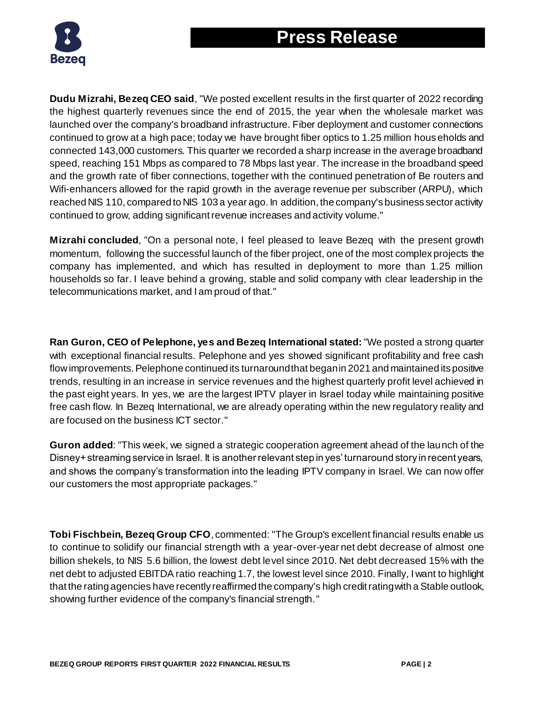

**Dudu Mizrahi, Bezeq CEO said**, "We posted excellent results in the first quarter of 2022 recording the highest quarterly revenues since the end of 2015, the year when the wholesale market was launched over the company's broadband infrastructure. Fiber deployment and customer connections continued to grow at a high pace; today we have brought fiber optics to 1.25 million households and connected 143,000 customers. This quarter we recorded a sharp increase in the average broadband speed, reaching 151 Mbps as compared to 78 Mbps last year. The increase in the broadband speed and the growth rate of fiber connections, together with the continued penetration of Be routers and Wifi-enhancers allowed for the rapid growth in the average revenue per subscriber (ARPU), which reached NIS 110, compared to NIS 103 a year ago. In addition, the company's business sector activity continued to grow, adding significant revenue increases and activity volume."

**Mizrahi concluded**, "On a personal note, I feel pleased to leave Bezeq with the present growth momentum, following the successful launch of the fiber project, one of the most complex projects the company has implemented, and which has resulted in deployment to more than 1.25 million households so far. I leave behind a growing, stable and solid company with clear leadership in the telecommunications market, and I am proud of that."

**Ran Guron, CEO of Pelephone, yes and Bezeq International stated:**"We posted a strong quarter with exceptional financial results. Pelephone and yes showed significant profitability and free cash flow improvements. Pelephone continued its turnaround that began in 2021 and maintained its positive trends, resulting in an increase in service revenues and the highest quarterly profit level achieved in the past eight years. In yes, we are the largest IPTV player in Israel today while maintaining positive free cash flow. In Bezeq International, we are already operating within the new regulatory reality and are focused on the business ICT sector."

**Guron added**: "This week, we signed a strategic cooperation agreement ahead of the launch of the Disney+ streaming service in Israel. It is another relevant step in yes' turnaround story in recent years, and shows the company's transformation into the leading IPTV company in Israel. We can now offer our customers the most appropriate packages."

**Tobi Fischbein, Bezeq Group CFO**, commented: "The Group's excellent financial results enable us to continue to solidify our financial strength with a year-over-year net debt decrease of almost one billion shekels, to NIS 5.6 billion, the lowest debt level since 2010. Net debt decreased 15% with the net debt to adjusted EBITDA ratio reaching 1.7, the lowest level since 2010. Finally, I want to highlight that the rating agencies have recently reaffirmed the company's high credit rating with a Stable outlook, showing further evidence of the company's financial strength."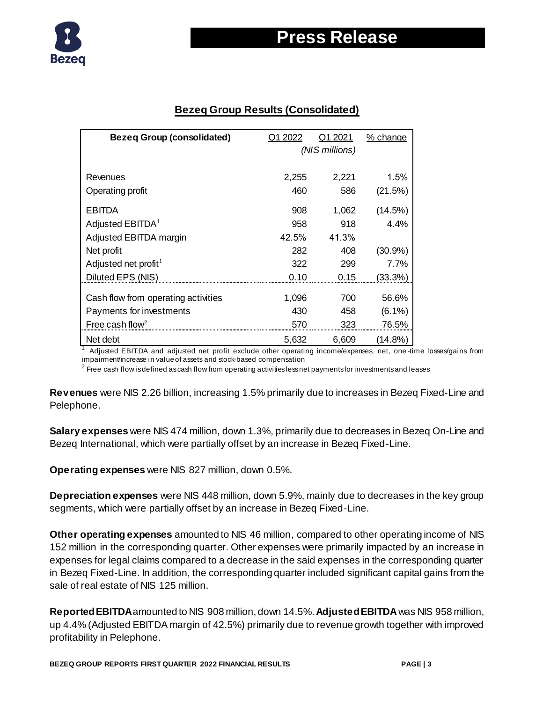

#### **Bezeq Group Results (Consolidated)**

| <b>Bezeq Group (consolidated)</b>   | Q1 2022 | Q1 2021        | % change   |
|-------------------------------------|---------|----------------|------------|
|                                     |         | (NIS millions) |            |
|                                     |         |                |            |
| Revenues                            | 2,255   | 2,221          | 1.5%       |
| Operating profit                    | 460     | 586            | (21.5%)    |
| <b>EBITDA</b>                       | 908     | 1,062          | (14.5%)    |
| Adjusted EBITDA <sup>1</sup>        | 958     | 918            | 4.4%       |
| Adjusted EBITDA margin              | 42.5%   | 41.3%          |            |
| Net profit                          | 282     | 408            | (30.9%)    |
| Adjusted net profit <sup>1</sup>    | 322     | 299            | 7.7%       |
| Diluted EPS (NIS)                   | 0.10    | 0.15           | (33.3%)    |
| Cash flow from operating activities | 1,096   | 700            | 56.6%      |
| Payments for investments            | 430     | 458            | $(6.1\%)$  |
| Free cash flow <sup>2</sup>         | 570     | 323            | 76.5%      |
| Net debt                            | 5,632   | 6,609          | $(14.8\%)$ |

Adjusted EBITDA and adjusted net profit exclude other operating income/expenses, net, one-time losses/gains from impairment/increase in value of assets and stock-based compensation

 $^{\rm 2}$  Free cash flow is defined as cash flow from operating activities less net payments for investments and leases

**Revenues** were NIS 2.26 billion, increasing 1.5% primarily due to increases in Bezeq Fixed-Line and Pelephone.

**Salary expenses** were NIS 474 million, down 1.3%, primarily due to decreases in Bezeq On-Line and Bezeq International, which were partially offset by an increase in Bezeq Fixed-Line.

**Operating expenses** were NIS 827 million, down 0.5%.

**Depreciation expenses** were NIS 448 million, down 5.9%, mainly due to decreases in the key group segments, which were partially offset by an increase in Bezeq Fixed-Line.

**Other operating expenses** amounted to NIS 46 million, compared to other operating income of NIS 152 million in the corresponding quarter. Other expenses were primarily impacted by an increase in expenses for legal claims compared to a decrease in the said expenses in the corresponding quarter in Bezeq Fixed-Line. In addition, the corresponding quarter included significant capital gains from the sale of real estate of NIS 125 million.

**Reported EBITDA**amounted to NIS 908 million, down 14.5%. **AdjustedEBITDA**was NIS 958 million, up 4.4% (Adjusted EBITDA margin of 42.5%) primarily due to revenue growth together with improved profitability in Pelephone.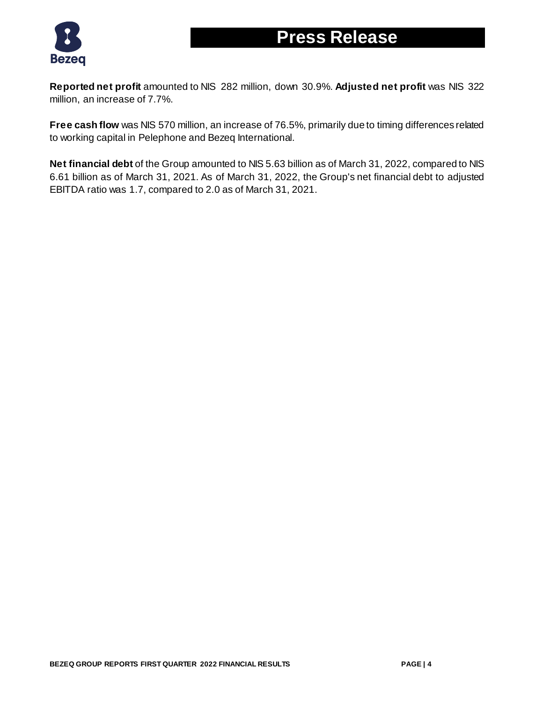



**Reported net profit** amounted to NIS 282 million, down 30.9%. **Adjusted net profit** was NIS 322 million, an increase of 7.7%.

**Free cash flow** was NIS 570 million, an increase of 76.5%, primarily due to timing differences related to working capital in Pelephone and Bezeq International.

**Net financial debt** of the Group amounted to NIS 5.63 billion as of March 31, 2022, compared to NIS 6.61 billion as of March 31, 2021. As of March 31, 2022, the Group's net financial debt to adjusted EBITDA ratio was 1.7, compared to 2.0 as of March 31, 2021.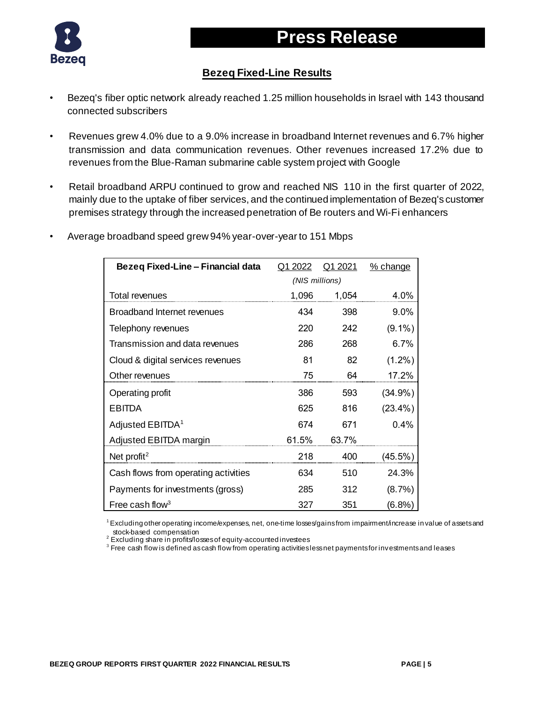



### **Bezeq Fixed-Line Results**

- Bezeq's fiber optic network already reached 1.25 million households in Israel with 143 thousand connected subscribers
- Revenues grew 4.0% due to a 9.0% increase in broadband Internet revenues and 6.7% higher transmission and data communication revenues. Other revenues increased 17.2% due to revenues from the Blue-Raman submarine cable system project with Google
- Retail broadband ARPU continued to grow and reached NIS 110 in the first quarter of 2022, mainly due to the uptake of fiber services, and the continued implementation of Bezeq's customer premises strategy through the increased penetration of Be routers and Wi-Fi enhancers

| Bezeq Fixed-Line - Financial data    | Q1 2022        | Q1 2021 | % change   |
|--------------------------------------|----------------|---------|------------|
|                                      | (NIS millions) |         |            |
| Total revenues                       | 1,096          | 1,054   | 4.0%       |
| <b>Broadband Internet revenues</b>   | 434            | 398     | $9.0\%$    |
| Telephony revenues                   | 220            | 242     | $(9.1\%)$  |
| Transmission and data revenues       | 286            | 268     | $6.7\%$    |
| Cloud & digital services revenues    | 81             | 82      | $(1.2\%)$  |
| Other revenues                       | 75             | 64      | 17.2%      |
| Operating profit                     | 386            | 593     | $(34.9\%)$ |
| <b>EBITDA</b>                        | 625            | 816     | $(23.4\%)$ |
| Adjusted EBITDA <sup>1</sup>         | 674            | 671     | 0.4%       |
| Adjusted EBITDA margin               | 61.5%          | 63.7%   |            |
| Net profit <sup>2</sup>              | 218            | 400     | (45.5%)    |
| Cash flows from operating activities | 634            | 510     | 24.3%      |
| Payments for investments (gross)     | 285            | 312     | $(8.7\%)$  |
| Free cash flow <sup>3</sup>          | 327            | 351     | (6.8%)     |

• Average broadband speed grew 94% year-over-year to 151 Mbps

 $1$  Excluding other operating income/expenses, net, one-time losses/gains from impairment/increase in value of assets and stock-based compensation

 $2$  Excluding share in profits/losses of equity-accounted investees

 $^{\rm 3}$  Free cash flow is defined as cash flow from operating activities less net payments for investments and leases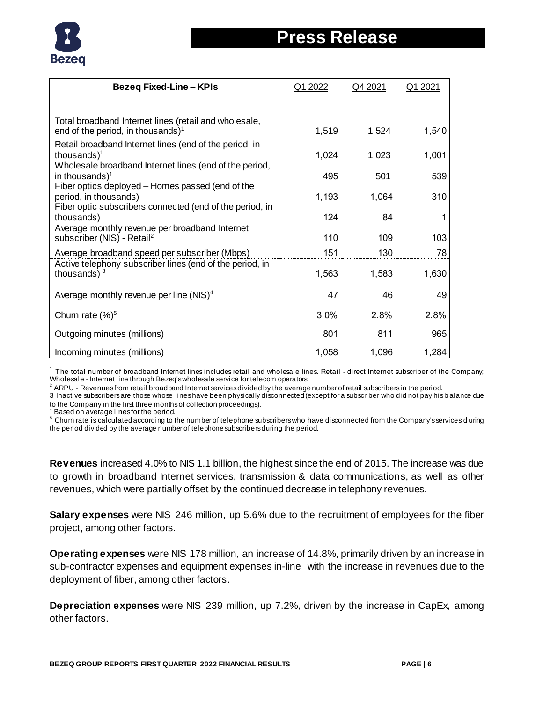

| <b>Bezeq Fixed-Line - KPIs</b>                                                                                                        | Q1 2022 | Q4 2021 | Q1 2021 |
|---------------------------------------------------------------------------------------------------------------------------------------|---------|---------|---------|
|                                                                                                                                       |         |         |         |
| Total broadband Internet lines (retail and wholesale,<br>end of the period, in thousands) <sup>1</sup>                                | 1,519   | 1,524   | 1,540   |
| Retail broadband Internet lines (end of the period, in<br>thousands $)^1$                                                             | 1,024   | 1,023   | 1,001   |
| Wholesale broadband Internet lines (end of the period,<br>in thousands) <sup>1</sup>                                                  | 495     | 501     | 539     |
| Fiber optics deployed - Homes passed (end of the<br>period, in thousands)<br>Fiber optic subscribers connected (end of the period, in | 1,193   | 1,064   | 310     |
| thousands)<br>Average monthly revenue per broadband Internet                                                                          | 124     | 84      |         |
| subscriber (NIS) - Retail <sup>2</sup>                                                                                                | 110     | 109     | 103     |
| Average broadband speed per subscriber (Mbps)                                                                                         | 151     | 130     | 78      |
| Active telephony subscriber lines (end of the period, in<br>thousands) $3$                                                            | 1,563   | 1,583   | 1,630   |
| Average monthly revenue per line (NIS) $4$                                                                                            | 47      | 46      | 49      |
| Churn rate $(%)^5$                                                                                                                    | 3.0%    | 2.8%    | 2.8%    |
| Outgoing minutes (millions)                                                                                                           | 801     | 811     | 965     |
| Incoming minutes (millions)                                                                                                           | 1,058   | 1,096   | 1,284   |

<sup>1</sup> The total number of broadband Internet lines includes retail and wholesale lines. Retail - direct Internet subscriber of the Company; Wholesale - Internet line through Bezeq's wholesale service for telecom operators.

 $2$  ARPU - Revenues from retail broadband Internet services divided by the average number of retail subscribers in the period.

3 Inactive subscribers are those whose lines have been physically disconnected (except for a subscriber who did not pay his b alance due to the Company in the first three months of collection proceedings).<br><sup>4</sup> Besed as avaining lineafarthe pariad

Based on average lines for the period.

<sup>5</sup> Churn rate is calculated according to the number of telephone subscribers who have disconnected from the Company's services d uring the period divided by the average number of telephone subscribers during the period.

**Revenues** increased 4.0% to NIS 1.1 billion, the highest since the end of 2015. The increase was due to growth in broadband Internet services, transmission & data communications, as well as other revenues, which were partially offset by the continued decrease in telephony revenues.

**Salary expenses** were NIS 246 million, up 5.6% due to the recruitment of employees for the fiber project, among other factors.

**Operating expenses** were NIS 178 million, an increase of 14.8%, primarily driven by an increase in sub-contractor expenses and equipment expenses in-line with the increase in revenues due to the deployment of fiber, among other factors.

**Depreciation expenses** were NIS 239 million, up 7.2%, driven by the increase in CapEx, among other factors.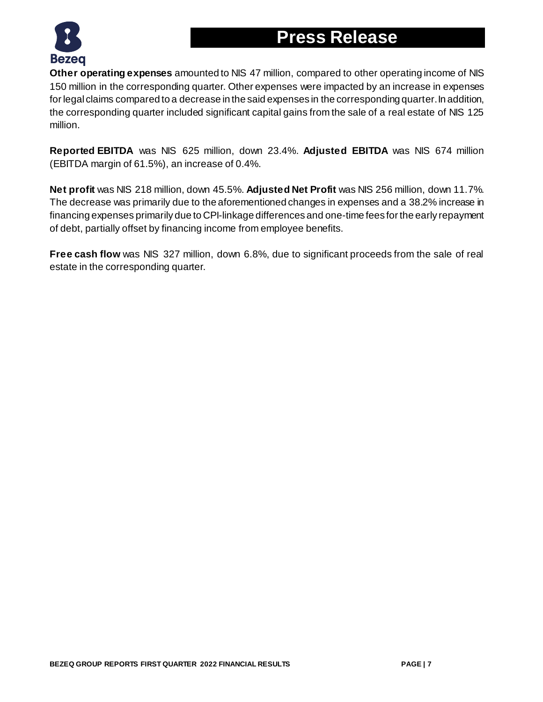



**Other operating expenses** amounted to NIS 47 million, compared to other operating income of NIS 150 million in the corresponding quarter. Other expenses were impacted by an increase in expenses for legal claims compared to a decrease in the said expenses in the corresponding quarter. In addition, the corresponding quarter included significant capital gains from the sale of a real estate of NIS 125 million.

**Reported EBITDA** was NIS 625 million, down 23.4%. **Adjusted EBITDA** was NIS 674 million (EBITDA margin of 61.5%), an increase of 0.4%.

**Net profit** was NIS 218 million, down 45.5%. **Adjusted Net Profit** was NIS 256 million, down 11.7%. The decrease was primarily due to the aforementioned changes in expenses and a 38.2% increase in financing expenses primarily due to CPI-linkage differences and one-time fees for the early repayment of debt, partially offset by financing income from employee benefits.

**Free cash flow** was NIS 327 million, down 6.8%, due to significant proceeds from the sale of real estate in the corresponding quarter.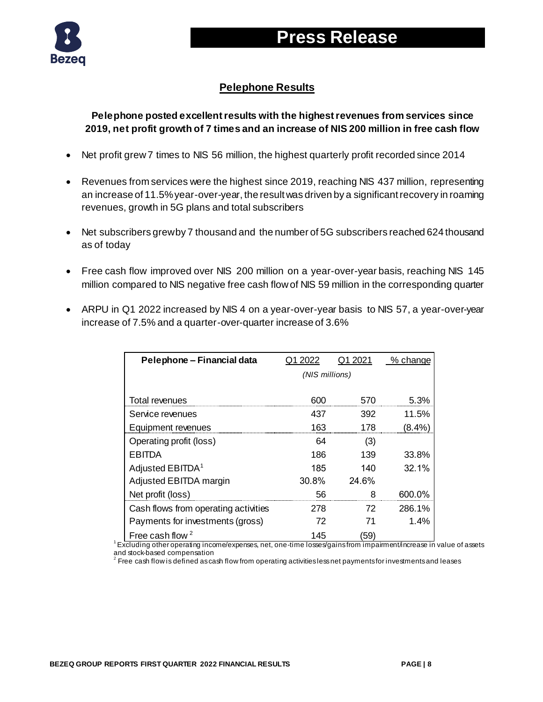

## **Press Release**

### **Pelephone Results**

#### **Pelephone posted excellent results with the highest revenues from services since 2019, net profit growth of 7 times and an increase of NIS 200 million in free cash flow**

- Net profit grew 7 times to NIS 56 million, the highest quarterly profit recorded since 2014
- Revenues from services were the highest since 2019, reaching NIS 437 million, representing an increase of 11.5% year-over-year, the result was driven by a significant recovery in roaming revenues, growth in 5G plans and total subscribers
- Net subscribers grew by 7 thousand and the number of 5G subscribers reached 624 thousand as of today
- Free cash flow improved over NIS 200 million on a year-over-year basis, reaching NIS 145 million compared to NIS negative free cash flow of NIS 59 million in the corresponding quarter
- ARPU in Q1 2022 increased by NIS 4 on a year-over-year basis to NIS 57, a year-over-year increase of 7.5% and a quarter-over-quarter increase of 3.6%

| Pelephone - Financial data           | Q1 2022        | Q1 2021 | % change |
|--------------------------------------|----------------|---------|----------|
|                                      | (NIS millions) |         |          |
|                                      |                |         |          |
| Total revenues                       | 600            | 570     | 5.3%     |
| Service revenues                     | 437            | 392     | 11.5%    |
| Equipment revenues                   | 163            | 178     | (8.4%)   |
| Operating profit (loss)              | 64             | (3)     |          |
| <b>EBITDA</b>                        | 186            | 139     | 33.8%    |
| Adjusted EBITDA <sup>1</sup>         | 185            | 140     | 32.1%    |
| Adjusted EBITDA margin               | 30.8%          | 24.6%   |          |
| Net profit (loss)                    | 56             | ጸ       | 600.0%   |
| Cash flows from operating activities | 278            | 72      | 286.1%   |
| Payments for investments (gross)     | 72             | 71      | 1.4%     |
| Free cash flow $2$                   | 145            | (59)    |          |

<sup>1</sup>Excluding other operating income/expenses, net, one-time losses/gains from impairment/increase in value of assets and stock-based compensation

 $^{\text{2}}$  Free cash flow is defined as cash flow from operating activities less net payments for investments and leases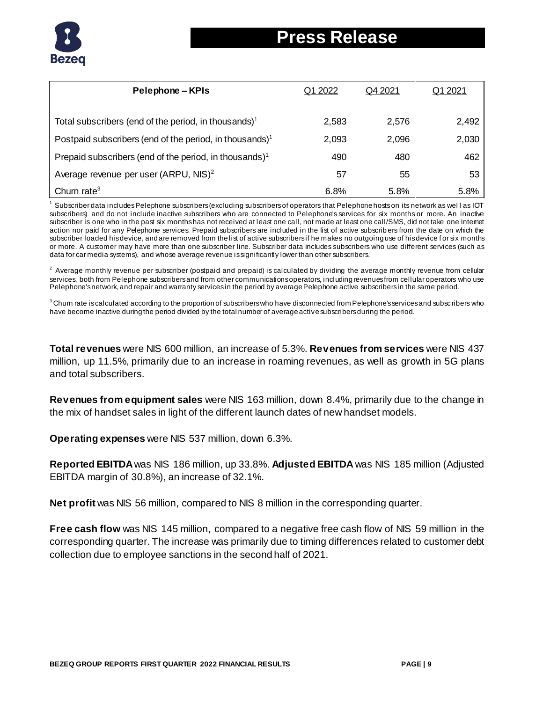

| Pelephone – KPIs                                                    | Q1 2022 | Q4 2021 | Q1 2021 |
|---------------------------------------------------------------------|---------|---------|---------|
| Total subscribers (end of the period, in thousands) <sup>1</sup>    | 2,583   | 2,576   | 2,492   |
| Postpaid subscribers (end of the period, in thousands) <sup>1</sup> | 2,093   | 2,096   | 2,030   |
| Prepaid subscribers (end of the period, in thousands) <sup>1</sup>  | 490     | 480     | 462     |
| Average revenue per user $(ARPU, NIS)^2$                            | 57      | 55      | 53      |
| Churn rate $3$                                                      | 6.8%    | 5.8%    | 5.8%    |

Subscriber data includes Pelephone subscribers (excluding subscribers of operators that Pelephone hosts on its network as well as IOT subscribers) and do not include inactive subscribers who are connected to Pelephone's services for six months or more. An inactive subscriber is one who in the past six months has not received at least one call, not made at least one call/SMS, did not take one Internet action nor paid for any Pelephone services. Prepaid subscribers are included in the list of active subscrib ers from the date on which the subscriber loaded his device, and are removed from the list of active subscribers if he makes no outgoing use of his device f or six months or more. A customer may have more than one subscriber line. Subscriber data includes subscribers who use different services (such as data for car media systems), and whose average revenue is significantly lower than other subscribers.

 $2$  Average monthly revenue per subscriber (postpaid and prepaid) is calculated by dividing the average monthly revenue from cellular services, both from Pelephone subscribers and from other communications operators, including revenues from cellular operators who use Pelephone's network, and repair and warranty services in the period by average Pelephone active subscribers in the same period.

 $3$ Churn rate is calculated according to the proportion of subscribers who have disconnected from Pelephone's services and subscribers who have become inactive during the period divided by the total number of average active subscribers during the period.

**Total revenues** were NIS 600 million, an increase of 5.3%. **Revenues from services** were NIS 437 million, up 11.5%, primarily due to an increase in roaming revenues, as well as growth in 5G plans and total subscribers.

**Revenues from equipment sales** were NIS 163 million, down 8.4%, primarily due to the change in the mix of handset sales in light of the different launch dates of new handset models.

**Operating expenses** were NIS 537 million, down 6.3%.

**Reported EBITDA**was NIS 186 million, up 33.8%. **Adjusted EBITDA** was NIS 185 million (Adjusted EBITDA margin of 30.8%), an increase of 32.1%.

**Net profit** was NIS 56 million, compared to NIS 8 million in the corresponding quarter.

**Free cash flow** was NIS 145 million, compared to a negative free cash flow of NIS 59 million in the corresponding quarter. The increase was primarily due to timing differences related to customer debt collection due to employee sanctions in the second half of 2021.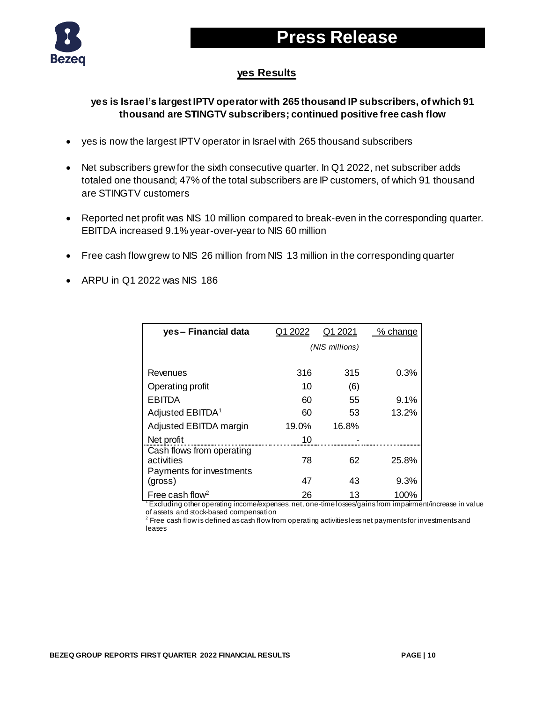



#### **yes Results**

#### **yes is Israel's largest IPTV operator with 265 thousand IP subscribers, of which 91 thousand are STINGTV subscribers; continued positive free cash flow**

- yes is now the largest IPTV operator in Israel with 265 thousand subscribers
- Net subscribers grew for the sixth consecutive quarter. In Q1 2022, net subscriber adds totaled one thousand; 47% of the total subscribers are IP customers, of which 91 thousand are STINGTV customers
- Reported net profit was NIS 10 million compared to break-even in the corresponding quarter. EBITDA increased 9.1% year-over-year to NIS 60 million
- Free cash flow grew to NIS 26 million from NIS 13 million in the corresponding quarter
- ARPU in Q1 2022 was NIS 186

| yes-Financial data                                                  | Q1 2022 | Q1 2021        | % change |
|---------------------------------------------------------------------|---------|----------------|----------|
|                                                                     |         | (NIS millions) |          |
|                                                                     |         |                |          |
| Revenues                                                            | 316     | 315            | 0.3%     |
| Operating profit                                                    | 10      | (6)            |          |
| EBITDA                                                              | 60      | 55             | 9.1%     |
| Adjusted EBITDA <sup>1</sup>                                        | 60      | 53             | 13.2%    |
| Adjusted EBITDA margin                                              | 19.0%   | 16.8%          |          |
| Net profit                                                          | 10      |                |          |
| Cash flows from operating<br>activities<br>Payments for investments | 78      | 62             | 25.8%    |
| (gross)                                                             | 47      | 43             | 9.3%     |
| Free cash flow <sup>2</sup>                                         | 26      | 13             | 100%     |

Fxcluding other operating income/expenses, net, one-time losses/gains from impairment/increase in value of assets and stock-based compensation

 $^{\rm 2}$  Free cash flow is defined as cash flow from operating activities less net payments for investments and leases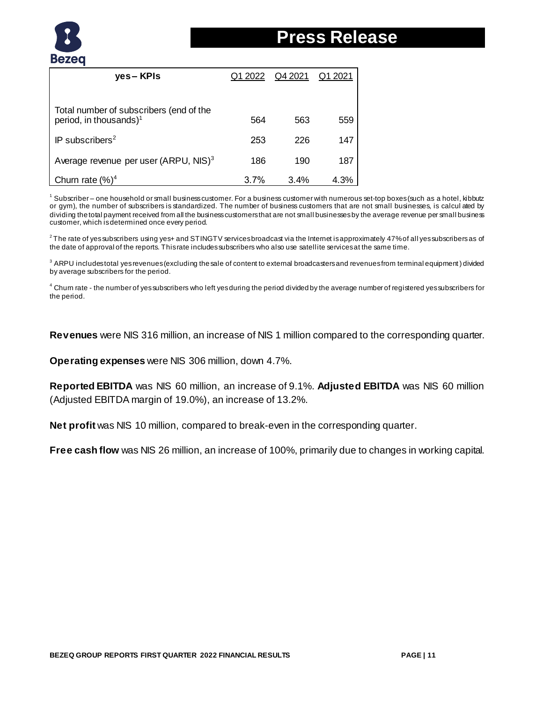

| yes – KPIs                                                                    | Q1 2022 | Q4 2021 | Q1 2021 |
|-------------------------------------------------------------------------------|---------|---------|---------|
|                                                                               |         |         |         |
| Total number of subscribers (end of the<br>period, in thousands) <sup>1</sup> | 564     | 563     | 559     |
| IP subscribers <sup>2</sup>                                                   | 253     | 226     | 147     |
| Average revenue per user (ARPU, NIS) <sup>3</sup>                             | 186     | 190     | 187     |
| Churn rate $(\%)^4$                                                           | 3.7%    | 3.4%    | 4.3%    |

<sup>1</sup> Subscriber – one household or small business customer. For a business customer with numerous set-top boxes (such as a hotel, kibbutz or gym), the number of subscribers is standardized. The number of business customers that are not small businesses, is calcul ated by dividing the total payment received from all the business customers that are not small businesses by the average revenue per small business customer, which is determined once every period.

 $2$ The rate of yes subscribers using yes+ and STINGTV services broadcast via the Internet is approximately 47% of all yes subscribers as of the date of approval of the reports. This rate includes subscribers who also use satellite services at the same time.

<sup>3</sup> ARPU includestotal yes revenues (excluding the sale of content to external broadcasters and revenues from terminal equipment) divided by average subscribers for the period.

<sup>4</sup> Churn rate - the number of yes subscribers who left yes during the period divided by the average number of registered yes subscribers for the period.

**Revenues** were NIS 316 million, an increase of NIS 1 million compared to the corresponding quarter.

**Operating expenses** were NIS 306 million, down 4.7%.

**Reported EBITDA** was NIS 60 million, an increase of 9.1%. **Adjusted EBITDA** was NIS 60 million (Adjusted EBITDA margin of 19.0%), an increase of 13.2%.

**Net profit** was NIS 10 million, compared to break-even in the corresponding quarter.

**Free cash flow** was NIS 26 million, an increase of 100%, primarily due to changes in working capital.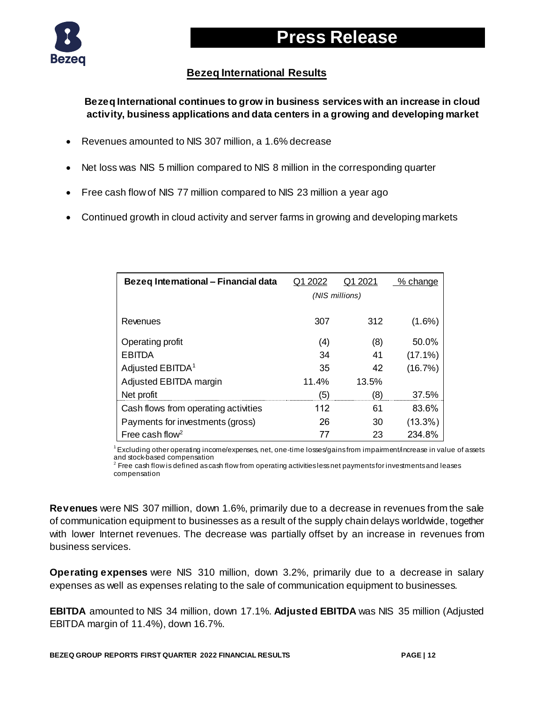

#### **Bezeq International Results**

**Bezeq International continues to grow in business services with an increase in cloud activity, business applications and data centers in a growing and developing market**

- Revenues amounted to NIS 307 million, a 1.6% decrease
- Net loss was NIS 5 million compared to NIS 8 million in the corresponding quarter
- Free cash flow of NIS 77 million compared to NIS 23 million a year ago
- Continued growth in cloud activity and server farms in growing and developing markets

| Bezeg International - Financial data | Q1 2022        | Q1 2021          | % change   |  |
|--------------------------------------|----------------|------------------|------------|--|
|                                      | (NIS millions) |                  |            |  |
|                                      |                |                  |            |  |
| Revenues                             | 307            | 312              | $(1.6\%)$  |  |
| Operating profit                     | (4)            | (8)              | 50.0%      |  |
| <b>EBITDA</b>                        | 34             | 41               | $(17.1\%)$ |  |
| Adjusted EBITDA <sup>1</sup>         | 35             | 42               | (16.7%)    |  |
| Adjusted EBITDA margin               | 11.4%          | 13.5%            |            |  |
| Net profit                           | (5)            | $\left(8\right)$ | 37.5%      |  |
| Cash flows from operating activities | 112            | 61               | 83.6%      |  |
| Payments for investments (gross)     | 26             | 30               | $(13.3\%)$ |  |
| Free cash flow <sup>2</sup>          |                | 23               | 234.8%     |  |

 $1$  Excluding other operating income/expenses, net, one-time losses/gains from impairment/increase in value of assets and stock-based compensation

 $^{\rm 2}$  Free cash flow is defined as cash flow from operating activities less net payments for investments and leases compensation

**Revenues** were NIS 307 million, down 1.6%, primarily due to a decrease in revenues from the sale of communication equipment to businesses as a result of the supply chain delays worldwide, together with lower Internet revenues. The decrease was partially offset by an increase in revenues from business services.

**Operating expenses** were NIS 310 million, down 3.2%, primarily due to a decrease in salary expenses as well as expenses relating to the sale of communication equipment to businesses.

**EBITDA** amounted to NIS 34 million, down 17.1%. **Adjusted EBITDA** was NIS 35 million (Adjusted EBITDA margin of 11.4%), down 16.7%.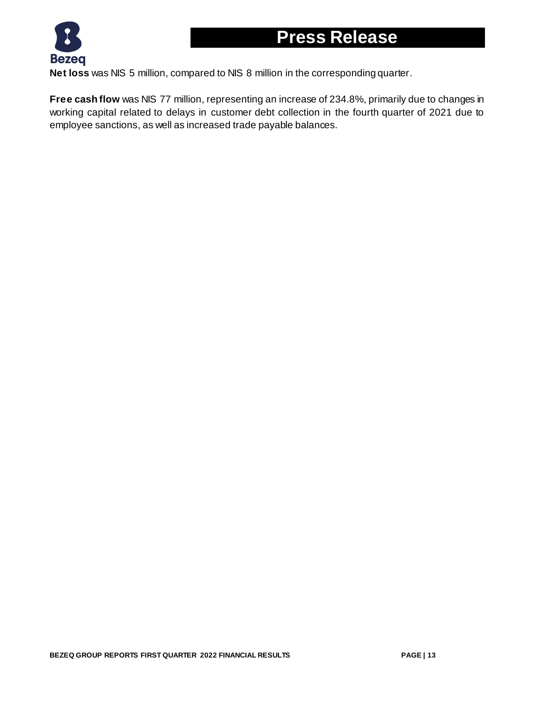

**Net loss** was NIS 5 million, compared to NIS 8 million in the corresponding quarter.

**Free cash flow** was NIS 77 million, representing an increase of 234.8%, primarily due to changes in working capital related to delays in customer debt collection in the fourth quarter of 2021 due to employee sanctions, as well as increased trade payable balances.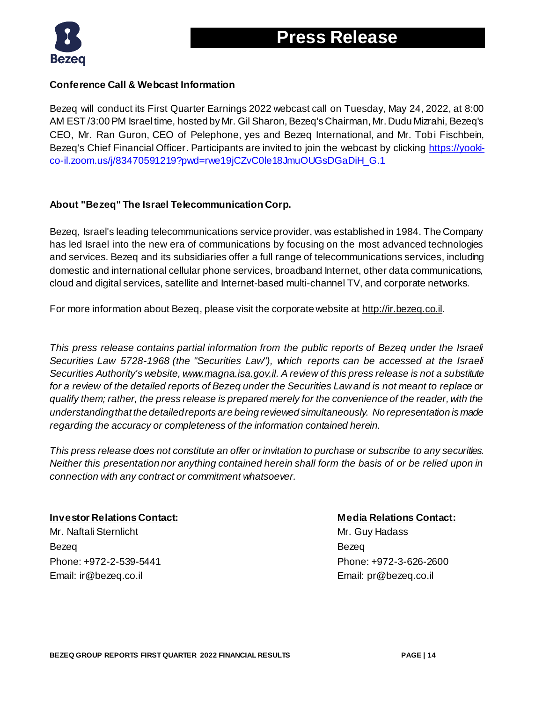

#### **Conference Call & Webcast Information**

Bezeq will conduct its First Quarter Earnings 2022 webcast call on Tuesday, May 24, 2022, at 8:00 AM EST /3:00 PM Israel time, hosted by Mr. Gil Sharon, Bezeq's Chairman, Mr. Dudu Mizrahi, Bezeq's CEO, Mr. Ran Guron, CEO of Pelephone, yes and Bezeq International, and Mr. Tobi Fischbein, Bezeq's Chief Financial Officer. Participants are invited to join the webcast by clicking [https://yooki](https://yooki-co-il.zoom.us/j/83470591219?pwd=rwe19jCZvC0le18JmuOUGsDGaDiH_G.1)[co-il.zoom.us/j/83470591219?pwd=rwe19jCZvC0le18JmuOUGsDGaDiH\\_G.1](https://yooki-co-il.zoom.us/j/83470591219?pwd=rwe19jCZvC0le18JmuOUGsDGaDiH_G.1)

#### **About "Bezeq" The Israel Telecommunication Corp.**

Bezeq, Israel's leading telecommunications service provider, was established in 1984. The Company has led Israel into the new era of communications by focusing on the most advanced technologies and services. Bezeq and its subsidiaries offer a full range of telecommunications services, including domestic and international cellular phone services, broadband Internet, other data communications, cloud and digital services, satellite and Internet-based multi-channel TV, and corporate networks.

For more information about Bezeq, please visit the corporate website a[t http://ir.bezeq.co.il](http://ir.bezeq.co.il/).

*This press release contains partial information from the public reports of Bezeq under the Israeli Securities Law 5728-1968 (the "Securities Law"), which reports can be accessed at the Israeli Securities Authority's website[, www.magna.isa.gov.il.](http://www.magna.isa.gov.il/) A review of this press release is not a substitute for a review of the detailed reports of Bezeq under the Securities Law and is not meant to replace or qualify them; rather, the press release is prepared merely for the convenience of the reader, with the understanding that the detailed reports are being reviewed simultaneously. No representation is made regarding the accuracy or completeness of the information contained herein.* 

*This press release does not constitute an offer or invitation to purchase or subscribe to any securities. Neither this presentation nor anything contained herein shall form the basis of or be relied upon in connection with any contract or commitment whatsoever.*

#### **Investor Relations Contact: Media Relations Contact:**

Mr. Naftali Sternlicht Mr. Guy Hadass Bezeq Bezeq Phone: +972-2-539-5441 Phone: +972-3-626-2600 Email: ir@bezeq.co.il Email: pr@bezeq.co.il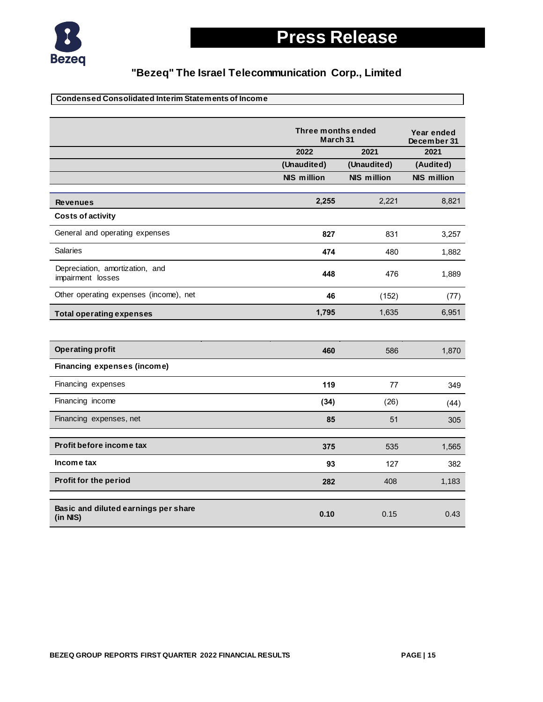

#### **Condensed Consolidated Interim Statements of Income**

|                                                       | Three months ended<br>March 31 | Year ended<br>December 31 |                    |
|-------------------------------------------------------|--------------------------------|---------------------------|--------------------|
|                                                       | 2022                           | 2021                      | 2021               |
|                                                       | (Unaudited)                    | (Unaudited)               | (Audited)          |
|                                                       | <b>NIS million</b>             | <b>NIS million</b>        | <b>NIS million</b> |
| <b>Revenues</b>                                       | 2,255                          | 2,221                     | 8,821              |
| <b>Costs of activity</b>                              |                                |                           |                    |
| General and operating expenses                        | 827                            | 831                       | 3,257              |
| <b>Salaries</b>                                       | 474                            | 480                       | 1,882              |
| Depreciation, amortization, and<br>impairment losses  | 448                            | 476                       | 1,889              |
| Other operating expenses (income), net                | 46                             | (152)                     | (77)               |
| <b>Total operating expenses</b>                       | 1,795                          | 1,635                     | 6,951              |
|                                                       |                                |                           |                    |
| <b>Operating profit</b>                               | 460                            | 586                       | 1,870              |
| <b>Financing expenses (income)</b>                    |                                |                           |                    |
| Financing expenses                                    | 119                            | 77                        | 349                |
| Financing income                                      | (34)                           | (26)                      | (44)               |
| Financing expenses, net                               | 85                             | 51                        | 305                |
| Profit before income tax                              |                                |                           |                    |
|                                                       | 375                            | 535                       | 1,565              |
| Income tax                                            | 93                             | 127                       | 382                |
| Profit for the period                                 | 282                            | 408                       | 1,183              |
| Basic and diluted earnings per share<br>$(in$ NIS $)$ | 0.10                           | 0.15                      | 0.43               |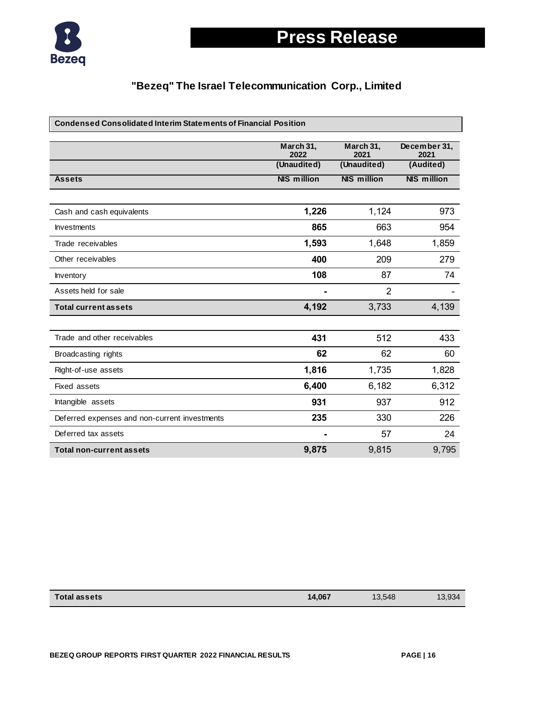

# **Press Release**

| <b>Condensed Consolidated Interim Statements of Financial Position</b> |                                  |                                  |                                   |
|------------------------------------------------------------------------|----------------------------------|----------------------------------|-----------------------------------|
|                                                                        | March 31,<br>2022<br>(Unaudited) | March 31.<br>2021<br>(Unaudited) | December 31,<br>2021<br>(Audited) |
| <b>Assets</b>                                                          | <b>NIS million</b>               | <b>NIS million</b>               | <b>NIS million</b>                |
| Cash and cash equivalents                                              | 1,226                            | 1,124                            | 973                               |
| <b>Investments</b>                                                     | 865                              | 663                              | 954                               |
| Trade receivables                                                      | 1,593                            | 1,648                            | 1,859                             |
| Other receivables                                                      | 400                              | 209                              | 279                               |
| Inventory                                                              | 108                              | 87                               | 74                                |
| Assets held for sale                                                   | ۰                                | 2                                |                                   |
| <b>Total current assets</b>                                            | 4,192                            | 3,733                            | 4,139                             |
|                                                                        |                                  |                                  |                                   |
| Trade and other receivables                                            | 431                              | 512                              | 433                               |
| Broadcasting rights                                                    | 62                               | 62                               | 60                                |
| Right-of-use assets                                                    | 1,816                            | 1,735                            | 1,828                             |
| <b>Fixed assets</b>                                                    | 6,400                            | 6,182                            | 6,312                             |
| Intangible assets                                                      | 931                              | 937                              | 912                               |
| Deferred expenses and non-current investments                          | 235                              | 330                              | 226                               |
| Deferred tax assets                                                    |                                  | 57                               | 24                                |
| <b>Total non-current assets</b>                                        | 9,875                            | 9,815                            | 9,795                             |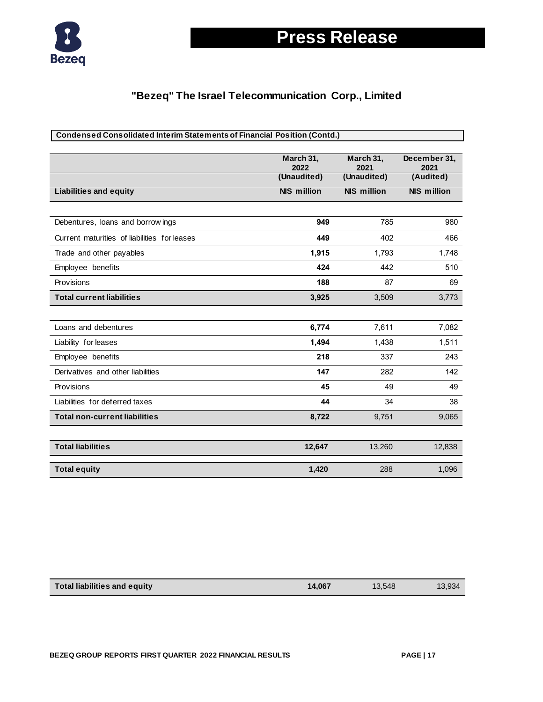

# **Press Release**

| <b>Condensed Consolidated Interim Statements of Financial Position (Contd.)</b> |                                  |                                  |                                   |  |
|---------------------------------------------------------------------------------|----------------------------------|----------------------------------|-----------------------------------|--|
|                                                                                 | March 31,<br>2022<br>(Unaudited) | March 31,<br>2021<br>(Unaudited) | December 31,<br>2021<br>(Audited) |  |
| <b>Liabilities and equity</b>                                                   | <b>NIS million</b>               | <b>NIS million</b>               | <b>NIS million</b>                |  |
|                                                                                 |                                  |                                  |                                   |  |
| Debentures, loans and borrowings                                                | 949                              | 785                              | 980                               |  |
| Current maturities of liabilities for leases                                    | 449                              | 402                              | 466                               |  |
| Trade and other payables                                                        | 1,915                            | 1,793                            | 1,748                             |  |
| Employee benefits                                                               | 424                              | 442                              | 510                               |  |
| Provisions                                                                      | 188                              | 87                               | 69                                |  |
| <b>Total current liabilities</b>                                                | 3,925                            | 3,509                            | 3,773                             |  |
|                                                                                 |                                  |                                  |                                   |  |
| Loans and debentures                                                            | 6,774                            | 7,611                            | 7,082                             |  |
| Liability for leases                                                            | 1,494                            | 1,438                            | 1,511                             |  |
| Employee benefits                                                               | 218                              | 337                              | 243                               |  |
| Derivatives and other liabilities                                               | 147                              | 282                              | 142                               |  |
| Provisions                                                                      | 45                               | 49                               | 49                                |  |
| Liabilities for deferred taxes                                                  | 44                               | 34                               | 38                                |  |
| <b>Total non-current liabilities</b>                                            | 8,722                            | 9,751                            | 9,065                             |  |
|                                                                                 |                                  |                                  |                                   |  |
| <b>Total liabilities</b>                                                        | 12,647                           | 13,260                           | 12,838                            |  |
| <b>Total equity</b>                                                             | 1,420                            | 288                              | 1,096                             |  |

| Total liabilities and equity | 14.067 | 13.548 | 13,934 |
|------------------------------|--------|--------|--------|
|                              |        |        |        |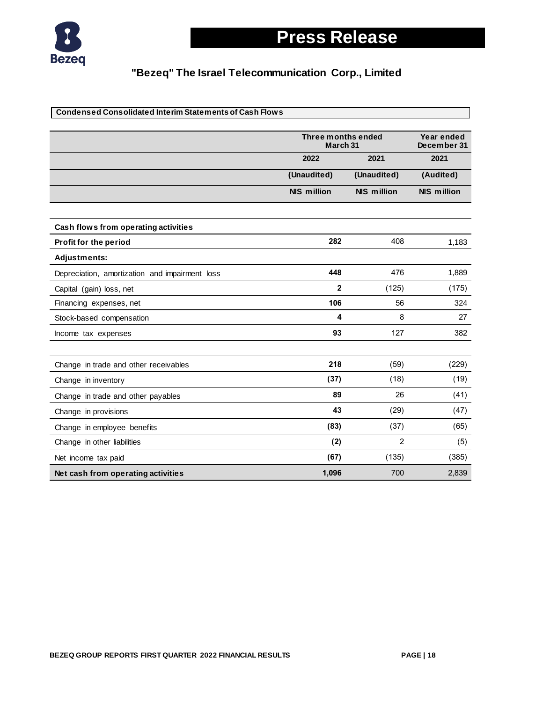

| <b>Condensed Consolidated Interim Statements of Cash Flows</b> |                    |                                |                    |  |
|----------------------------------------------------------------|--------------------|--------------------------------|--------------------|--|
|                                                                |                    | Three months ended<br>March 31 |                    |  |
|                                                                | 2022               | 2021                           | 2021               |  |
|                                                                | (Unaudited)        | (Unaudited)                    | (Audited)          |  |
|                                                                | <b>NIS million</b> | <b>NIS million</b>             | <b>NIS million</b> |  |
| Cash flows from operating activities                           |                    |                                |                    |  |
| Profit for the period                                          | 282                | 408                            | 1,183              |  |
| <b>Adjustments:</b>                                            |                    |                                |                    |  |
| Depreciation, amortization and impairment loss                 | 448                | 476                            | 1,889              |  |
| Capital (gain) loss, net                                       | $\mathbf{2}$       | (125)                          | (175)              |  |
| Financing expenses, net                                        | 106                | 56                             | 324                |  |
| Stock-based compensation                                       | 4                  | 8                              | 27                 |  |
| Income tax expenses                                            | 93                 | 127                            | 382                |  |
| Change in trade and other receivables                          | 218                | (59)                           | (229)              |  |
| Change in inventory                                            | (37)               | (18)                           | (19)               |  |
| Change in trade and other payables                             | 89                 | 26                             | (41)               |  |
| Change in provisions                                           | 43                 | (29)                           | (47)               |  |
| Change in employee benefits                                    | (83)               | (37)                           | (65)               |  |
| Change in other liabilities                                    | (2)                | $\overline{2}$                 | (5)                |  |
| Net income tax paid                                            | (67)               | (135)                          | (385)              |  |
| Net cash from operating activities                             | 1,096              | 700                            | 2,839              |  |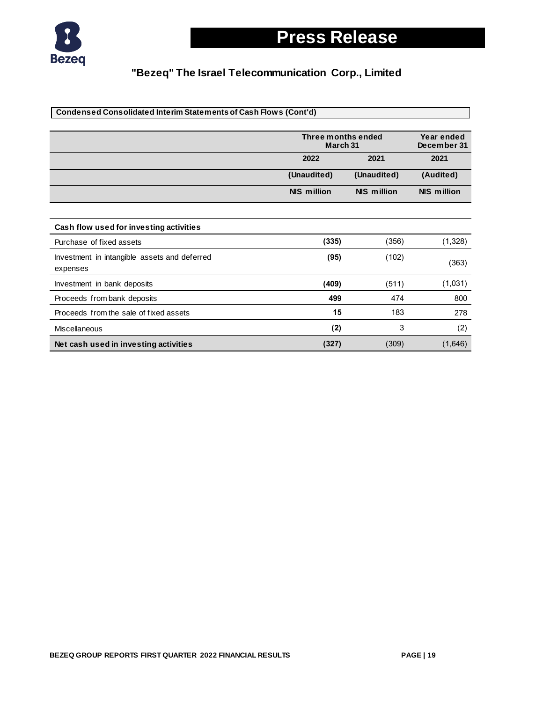

| Condensed Consolidated Interim Statements of Cash Flows (Cont'd) |                    |                                |                    |  |
|------------------------------------------------------------------|--------------------|--------------------------------|--------------------|--|
|                                                                  |                    |                                |                    |  |
|                                                                  |                    | Three months ended<br>March 31 |                    |  |
|                                                                  | 2022               | 2021                           | 2021               |  |
|                                                                  | (Unaudited)        | (Unaudited)                    | (Audited)          |  |
|                                                                  | <b>NIS million</b> | <b>NIS million</b>             | <b>NIS million</b> |  |
|                                                                  |                    |                                |                    |  |
| Cash flow used for investing activities                          |                    |                                |                    |  |
| Purchase of fixed assets                                         | (335)              | (356)                          | (1,328)            |  |
| Investment in intangible assets and deferred<br>expenses         | (95)               | (102)                          | (363)              |  |
| Investment in bank deposits                                      | (409)              | (511)                          | (1,031)            |  |
| Proceeds from bank deposits                                      | 499                | 474                            | 800                |  |
| Proceeds from the sale of fixed assets                           | 15                 | 183                            | 278                |  |
| <b>Miscellaneous</b>                                             | (2)                | 3                              | (2)                |  |
| Net cash used in investing activities                            | (327)              | (309)                          | (1,646)            |  |